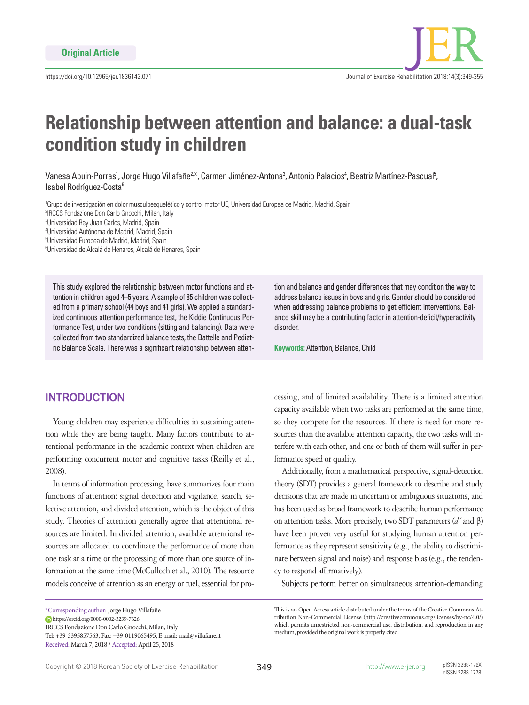

# **Relationship between attention and balance: a dual-task condition study in children**

Vanesa Abuin-Porras', Jorge Hugo Villafañe<sup>2.</sup>\*, Carmen Jiménez-Antona<sup>3</sup>, Antonio Palacios<sup>4</sup>, Beatriz Martínez-Pascual<sup>5</sup>, Isabel Rodríguez-Costa<sup>6</sup>

<sup>1</sup>Grupo de investigación en dolor musculoesquelético y control motor UE, Universidad Europea de Madrid, Madrid, Spain 2 IRCCS Fondazione Don Carlo Gnocchi, Milan, Italy 3 Universidad Rey Juan Carlos, Madrid, Spain

4 Universidad Autónoma de Madrid, Madrid, Spain 5 Universidad Europea de Madrid, Madrid, Spain

6 Universidad de Alcalá de Henares, Alcalá de Henares, Spain

This study explored the relationship between motor functions and attention in children aged 4–5 years. A sample of 85 children was collected from a primary school (44 boys and 41 girls). We applied a standardized continuous attention performance test, the Kiddie Continuous Performance Test, under two conditions (sitting and balancing). Data were collected from two standardized balance tests, the Battelle and Pediatric Balance Scale. There was a significant relationship between atten-

tion and balance and gender differences that may condition the way to address balance issues in boys and girls. Gender should be considered when addressing balance problems to get efficient interventions. Balance skill may be a contributing factor in attention-deficit/hyperactivity disorder.

**Keywords:** Attention, Balance, Child

## **INTRODUCTION**

Young children may experience difficulties in sustaining attention while they are being taught. Many factors contribute to attentional performance in the academic context when children are performing concurrent motor and cognitive tasks (Reilly et al., 2008).

In terms of information processing, have summarizes four main functions of attention: signal detection and vigilance, search, selective attention, and divided attention, which is the object of this study. Theories of attention generally agree that attentional resources are limited. In divided attention, available attentional resources are allocated to coordinate the performance of more than one task at a time or the processing of more than one source of information at the same time (McCulloch et al., 2010). The resource models conceive of attention as an energy or fuel, essential for pro-

https://orcid.org/0000-0002-3239-7626

IRCCS Fondazione Don Carlo Gnocchi, Milan, Italy

Tel: +39-3395857563, Fax: +39-0119065495, E-mail: mail@villafane.it Received: March 7, 2018 / Accepted: April 25, 2018

cessing, and of limited availability. There is a limited attention capacity available when two tasks are performed at the same time, so they compete for the resources. If there is need for more resources than the available attention capacity, the two tasks will interfere with each other, and one or both of them will suffer in performance speed or quality.

Additionally, from a mathematical perspective, signal-detection theory (SDT) provides a general framework to describe and study decisions that are made in uncertain or ambiguous situations, and has been used as broad framework to describe human performance on attention tasks. More precisely, two SDT parameters (*d´* and β) have been proven very useful for studying human attention performance as they represent sensitivity (e.g., the ability to discriminate between signal and noise) and response bias (e.g., the tendency to respond affirmatively).

Subjects perform better on simultaneous attention-demanding

<sup>\*</sup>Corresponding author: Jorge Hugo Villafañe

This is an Open Access article distributed under the terms of the Creative Commons Attribution Non-Commercial License (http://creativecommons.org/licenses/by-nc/4.0/) which permits unrestricted non-commercial use, distribution, and reproduction in any medium, provided the original work is properly cited.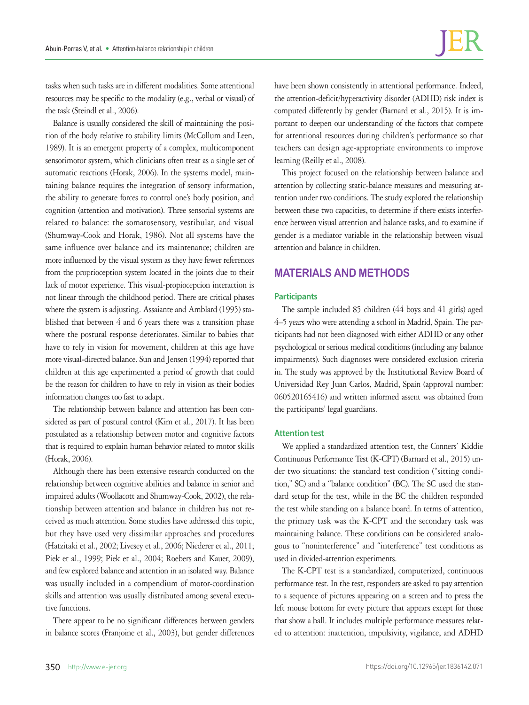tasks when such tasks are in different modalities. Some attentional resources may be specific to the modality (e.g., verbal or visual) of the task (Steindl et al., 2006).

Balance is usually considered the skill of maintaining the position of the body relative to stability limits (McCollum and Leen, 1989). It is an emergent property of a complex, multicomponent sensorimotor system, which clinicians often treat as a single set of automatic reactions (Horak, 2006). In the systems model, maintaining balance requires the integration of sensory information, the ability to generate forces to control one's body position, and cognition (attention and motivation). Three sensorial systems are related to balance: the somatosensory, vestibular, and visual (Shumway-Cook and Horak, 1986). Not all systems have the same influence over balance and its maintenance; children are more influenced by the visual system as they have fewer references from the proprioception system located in the joints due to their lack of motor experience. This visual-propiocepcion interaction is not linear through the childhood period. There are critical phases where the system is adjusting. Assaiante and Amblard (1995) stablished that between 4 and 6 years there was a transition phase where the postural response deteriorates. Similar to babies that have to rely in vision for movement, children at this age have more visual-directed balance. Sun and Jensen (1994) reported that children at this age experimented a period of growth that could be the reason for children to have to rely in vision as their bodies information changes too fast to adapt.

The relationship between balance and attention has been considered as part of postural control (Kim et al., 2017). It has been postulated as a relationship between motor and cognitive factors that is required to explain human behavior related to motor skills (Horak, 2006).

Although there has been extensive research conducted on the relationship between cognitive abilities and balance in senior and impaired adults (Woollacott and Shumway-Cook, 2002), the relationship between attention and balance in children has not received as much attention. Some studies have addressed this topic, but they have used very dissimilar approaches and procedures (Hatzitaki et al., 2002; Livesey et al., 2006; Niederer et al., 2011; Piek et al., 1999; Piek et al., 2004; Roebers and Kauer, 2009), and few explored balance and attention in an isolated way. Balance was usually included in a compendium of motor-coordination skills and attention was usually distributed among several executive functions.

There appear to be no significant differences between genders in balance scores (Franjoine et al., 2003), but gender differences have been shown consistently in attentional performance. Indeed, the attention-deficit/hyperactivity disorder (ADHD) risk index is computed differently by gender (Barnard et al., 2015). It is important to deepen our understanding of the factors that compete for attentional resources during children's performance so that teachers can design age-appropriate environments to improve learning (Reilly et al., 2008).

This project focused on the relationship between balance and attention by collecting static-balance measures and measuring attention under two conditions. The study explored the relationship between these two capacities, to determine if there exists interference between visual attention and balance tasks, and to examine if gender is a mediator variable in the relationship between visual attention and balance in children.

## **MATERIALS AND METHODS**

## **Participants**

The sample included 85 children (44 boys and 41 girls) aged 4–5 years who were attending a school in Madrid, Spain. The participants had not been diagnosed with either ADHD or any other psychological or serious medical conditions (including any balance impairments). Such diagnoses were considered exclusion criteria in. The study was approved by the Institutional Review Board of Universidad Rey Juan Carlos, Madrid, Spain (approval number: 060520165416) and written informed assent was obtained from the participants' legal guardians.

#### **Attention test**

We applied a standardized attention test, the Conners' Kiddie Continuous Performance Test (K-CPT) (Barnard et al., 2015) under two situations: the standard test condition ("sitting condition," SC) and a "balance condition" (BC). The SC used the standard setup for the test, while in the BC the children responded the test while standing on a balance board. In terms of attention, the primary task was the K-CPT and the secondary task was maintaining balance. These conditions can be considered analogous to "noninterference" and "interference" test conditions as used in divided-attention experiments.

The K-CPT test is a standardized, computerized, continuous performance test. In the test, responders are asked to pay attention to a sequence of pictures appearing on a screen and to press the left mouse bottom for every picture that appears except for those that show a ball. It includes multiple performance measures related to attention: inattention, impulsivity, vigilance, and ADHD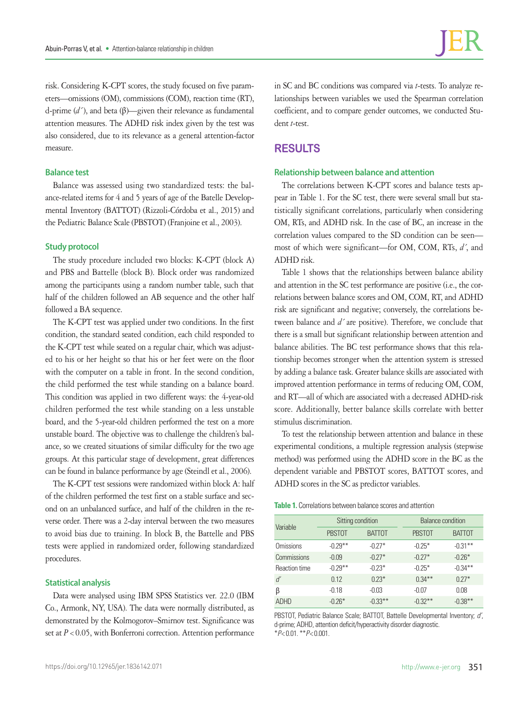risk. Considering K-CPT scores, the study focused on five parameters—omissions (OM), commissions (COM), reaction time (RT), d-prime (*d´* ), and beta (β)—given their relevance as fundamental attention measures. The ADHD risk index given by the test was also considered, due to its relevance as a general attention-factor measure.

## **Balance test**

Balance was assessed using two standardized tests: the balance-related items for 4 and 5 years of age of the Batelle Developmental Inventory (BATTOT) (Rizzoli-Córdoba et al., 2015) and the Pediatric Balance Scale (PBSTOT) (Franjoine et al., 2003).

#### **Study protocol**

The study procedure included two blocks: K-CPT (block A) and PBS and Battelle (block B). Block order was randomized among the participants using a random number table, such that half of the children followed an AB sequence and the other half followed a BA sequence.

The K-CPT test was applied under two conditions. In the first condition, the standard seated condition, each child responded to the K-CPT test while seated on a regular chair, which was adjusted to his or her height so that his or her feet were on the floor with the computer on a table in front. In the second condition, the child performed the test while standing on a balance board. This condition was applied in two different ways: the 4-year-old children performed the test while standing on a less unstable board, and the 5-year-old children performed the test on a more unstable board. The objective was to challenge the children's balance, so we created situations of similar difficulty for the two age groups. At this particular stage of development, great differences can be found in balance performance by age (Steindl et al., 2006).

The K-CPT test sessions were randomized within block A: half of the children performed the test first on a stable surface and second on an unbalanced surface, and half of the children in the reverse order. There was a 2-day interval between the two measures to avoid bias due to training. In block B, the Battelle and PBS tests were applied in randomized order, following standardized procedures.

#### **Statistical analysis**

Data were analysed using IBM SPSS Statistics ver. 22.0 (IBM Co., Armonk, NY, USA). The data were normally distributed, as demonstrated by the Kolmogorov–Smirnov test. Significance was set at  $P < 0.05$ , with Bonferroni correction. Attention performance

in SC and BC conditions was compared via *t*-tests. To analyze relationships between variables we used the Spearman correlation coefficient, and to compare gender outcomes, we conducted Student *t*-test.

## **RESULTS**

#### **Relationship between balance and attention**

The correlations between K-CPT scores and balance tests appear in Table 1. For the SC test, there were several small but statistically significant correlations, particularly when considering OM, RTs, and ADHD risk. In the case of BC, an increase in the correlation values compared to the SD condition can be seen most of which were significant—for OM, COM, RTs, *d´*, and ADHD risk.

Table 1 shows that the relationships between balance ability and attention in the SC test performance are positive (i.e., the correlations between balance scores and OM, COM, RT, and ADHD risk are significant and negative; conversely, the correlations between balance and *d´* are positive). Therefore, we conclude that there is a small but significant relationship between attention and balance abilities. The BC test performance shows that this relationship becomes stronger when the attention system is stressed by adding a balance task. Greater balance skills are associated with improved attention performance in terms of reducing OM, COM, and RT—all of which are associated with a decreased ADHD-risk score. Additionally, better balance skills correlate with better stimulus discrimination.

To test the relationship between attention and balance in these experimental conditions, a multiple regression analysis (stepwise method) was performed using the ADHD score in the BC as the dependent variable and PBSTOT scores, BATTOT scores, and ADHD scores in the SC as predictor variables.

**Table 1.** Correlations between balance scores and attention

| Variable         | Sitting condition |               | <b>Balance condition</b> |               |  |
|------------------|-------------------|---------------|--------------------------|---------------|--|
|                  | <b>PBSTOT</b>     | <b>BATTOT</b> | <b>PBSTOT</b>            | <b>BATTOT</b> |  |
| <b>Omissions</b> | $-0.29***$        | $-0.27*$      | $-0.25*$                 | $-0.31***$    |  |
| Commissions      | $-0.09$           | $-0.27*$      | $-0.27*$                 | $-0.26*$      |  |
| Reaction time    | $-0.29***$        | $-0.23*$      | $-0.25*$                 | $-0.34***$    |  |
| ď                | 0.12              | $0.23*$       | $0.34***$                | $0.27*$       |  |
| ß                | $-0.18$           | $-0.03$       | -0.07                    | 0.08          |  |
| <b>ADHD</b>      | $-0.26*$          | $-0.33***$    | $-0.32**$                | $-0.38***$    |  |

PBSTOT, Pediatric Balance Scale; BATTOT, Battelle Developmental Inventory; *d'*, d-prime; ADHD, attention deficit/hyperactivity disorder diagnostic. \**P*< 0.01. \*\**P*< 0.001.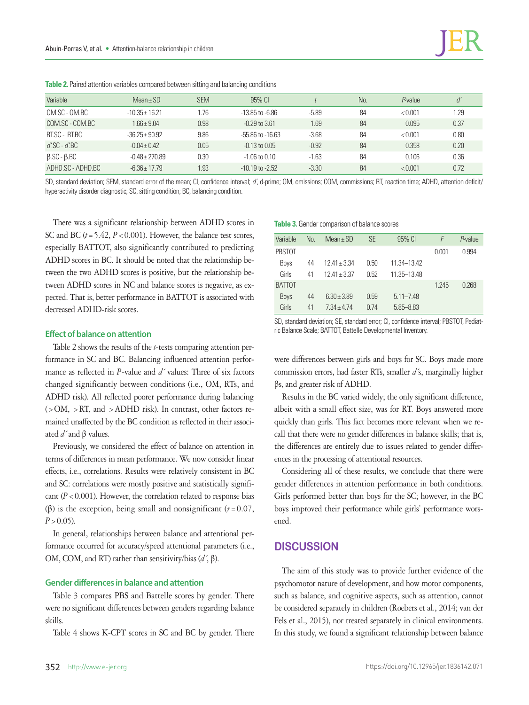| Variable                  | $Mean \pm SD$      | <b>SEM</b> | $95\%$ Cl            |         | No. | $P$ -value | ď    |
|---------------------------|--------------------|------------|----------------------|---------|-----|------------|------|
| OM.SC - OM.BC             | $-10.35 \pm 16.21$ | 1.76       | $-13.85$ to $-6.86$  | $-5.89$ | 84  | < 0.001    | 1.29 |
| COM.SC - COM.BC           | $1.66 \pm 9.04$    | 0.98       | $-0.29$ to $3.61$    | 1.69    | 84  | 0.095      | 0.37 |
| RT.SC - RT.BC             | $-36.25 \pm 90.92$ | 9.86       | $-55.86$ to $-16.63$ | $-3.68$ | 84  | < 0.001    | 0.80 |
| $d'$ .SC - $d'$ .BC       | $-0.04 \pm 0.42$   | 0.05       | $-0.13$ to $0.05$    | $-0.92$ | 84  | 0.358      | 0.20 |
| $\beta$ .SC - $\beta$ .BC | $-0.48 \pm 270.89$ | 0.30       | $-1.06$ to $0.10$    | $-1.63$ | 84  | 0.106      | 0.36 |
| ADHD.SC - ADHD.BC         | $-6.36 \pm 17.79$  | 1.93       | $-10.19$ to $-2.52$  | $-3.30$ | 84  | < 0.001    | 0.72 |

**Table 2.** Paired attention variables compared between sitting and balancing conditions

SD, standard deviation; SEM, standard error of the mean; CI, confidence interval; *d'*, d-prime; OM, omissions; COM, commissions; RT, reaction time; ADHD, attention deficit/ hyperactivity disorder diagnostic; SC, sitting condition; BC, balancing condition.

There was a significant relationship between ADHD scores in SC and BC ( $t = 5.42$ ,  $P < 0.001$ ). However, the balance test scores, especially BATTOT, also significantly contributed to predicting ADHD scores in BC. It should be noted that the relationship between the two ADHD scores is positive, but the relationship between ADHD scores in NC and balance scores is negative, as expected. That is, better performance in BATTOT is associated with decreased ADHD-risk scores.

## **Effect of balance on attention**

Table 2 shows the results of the *t*-tests comparing attention performance in SC and BC. Balancing influenced attention performance as reflected in *P*-value and *d´* values: Three of six factors changed significantly between conditions (i.e., OM, RTs, and ADHD risk). All reflected poorer performance during balancing  $(>OM, > RT,$  and  $> ADHD$  risk). In contrast, other factors remained unaffected by the BC condition as reflected in their associated *d´* and β values.

Previously, we considered the effect of balance on attention in terms of differences in mean performance. We now consider linear effects, i.e., correlations. Results were relatively consistent in BC and SC: correlations were mostly positive and statistically significant  $(P < 0.001)$ . However, the correlation related to response bias ( $\beta$ ) is the exception, being small and nonsignificant ( $r=0.07$ ,  $P > 0.05$ ).

In general, relationships between balance and attentional performance occurred for accuracy/speed attentional parameters (i.e., OM, COM, and RT) rather than sensitivity/bias (*d´*, β).

## **Gender differences in balance and attention**

Table 3 compares PBS and Battelle scores by gender. There were no significant differences between genders regarding balance skills.

Table 4 shows K-CPT scores in SC and BC by gender. There

#### **Table 3.** Gender comparison of balance scores

| Variable      | No. | $Mean \pm SD$    | SE   | 95% CI        | F     | $P$ -value |
|---------------|-----|------------------|------|---------------|-------|------------|
| <b>PBSTOT</b> |     |                  |      |               | 0.001 | n 994      |
| Boys          | 44  | $12.41 \pm 3.34$ | 0.50 | 11 34–13 42   |       |            |
| Girls         | 41  | $1241 + 337$     | 0.52 | 11 35 - 13 48 |       |            |
| <b>BATTOT</b> |     |                  |      |               | 1.245 | 0.268      |
| <b>Boys</b>   | 44  | $6.30 \pm 3.89$  | 0.59 | $5.11 - 7.48$ |       |            |
| Girls         | 41  | 7 34 + 4 74      | 0 74 | $5.85 - 8.83$ |       |            |

SD, standard deviation; SE, standard error; CI, confidence interval; PBSTOT, Pediatric Balance Scale; BATTOT, Battelle Developmental Inventory.

were differences between girls and boys for SC. Boys made more commission errors, had faster RTs, smaller *d´*s, marginally higher βs, and greater risk of ADHD.

Results in the BC varied widely; the only significant difference, albeit with a small effect size, was for RT. Boys answered more quickly than girls. This fact becomes more relevant when we recall that there were no gender differences in balance skills; that is, the differences are entirely due to issues related to gender differences in the processing of attentional resources.

Considering all of these results, we conclude that there were gender differences in attention performance in both conditions. Girls performed better than boys for the SC; however, in the BC boys improved their performance while girls' performance worsened.

## **DISCUSSION**

The aim of this study was to provide further evidence of the psychomotor nature of development, and how motor components, such as balance, and cognitive aspects, such as attention, cannot be considered separately in children (Roebers et al., 2014; van der Fels et al., 2015), nor treated separately in clinical environments. In this study, we found a significant relationship between balance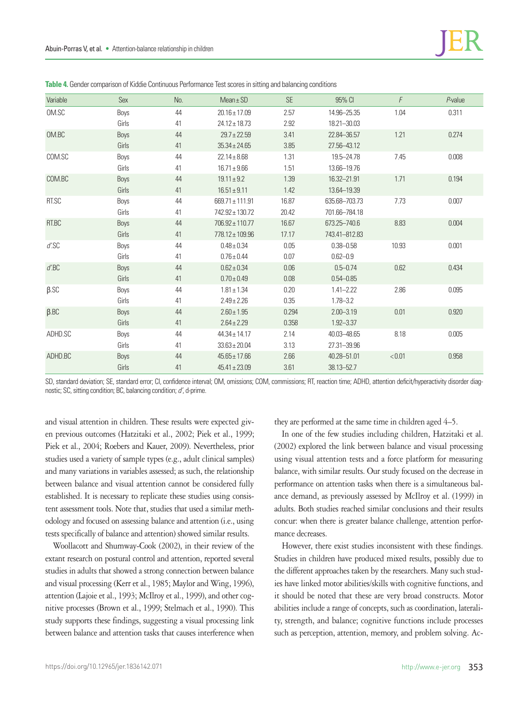| Variable          | Sex   | No. | $Mean \pm SD$       | <b>SE</b> | 95% CI         | F      | P-value |
|-------------------|-------|-----|---------------------|-----------|----------------|--------|---------|
| OM.SC             | Boys  | 44  | $20.16 \pm 17.09$   | 2.57      | 14.96-25.35    | 1.04   | 0.311   |
|                   | Girls | 41  | $24.12 \pm 18.73$   | 2.92      | 18.21-30.03    |        |         |
| OM.BC             | Boys  | 44  | $29.7 \pm 22.59$    | 3.41      | 22.84 - 36.57  | 1.21   | 0.274   |
|                   | Girls | 41  | $35.34 \pm 24.65$   | 3.85      | 27.56-43.12    |        |         |
| COM.SC            | Boys  | 44  | $22.14 \pm 8.68$    | 1.31      | 19.5–24.78     | 7.45   | 0.008   |
|                   | Girls | 41  | $16.71 \pm 9.66$    | 1.51      | 13.66-19.76    |        |         |
| COM.BC            | Boys  | 44  | $19.11 \pm 9.2$     | 1.39      | 16.32-21.91    | 1.71   | 0.194   |
|                   | Girls | 41  | $16.51 \pm 9.11$    | 1.42      | 13.64-19.39    |        |         |
| RT.SC             | Boys  | 44  | $669.71 \pm 111.91$ | 16.87     | 635.68-703.73  | 7.73   | 0.007   |
|                   | Girls | 41  | 742.92 ± 130.72     | 20.42     | 701.66-784.18  |        |         |
| RT.BC             | Boys  | 44  | $706.92 \pm 110.77$ | 16.67     | 673.25 - 740.6 | 8.83   | 0.004   |
|                   | Girls | 41  | 778.12 ± 109.96     | 17.17     | 743.41-812.83  |        |         |
| d'.SC             | Boys  | 44  | $0.48 \pm 0.34$     | 0.05      | $0.38 - 0.58$  | 10.93  | 0.001   |
|                   | Girls | 41  | $0.76 \pm 0.44$     | 0.07      | $0.62 - 0.9$   |        |         |
| $d'\mbox{\rm BC}$ | Boys  | 44  | $0.62 \pm 0.34$     | 0.06      | $0.5 - 0.74$   | 0.62   | 0.434   |
|                   | Girls | 41  | $0.70 \pm 0.49$     | 0.08      | $0.54 - 0.85$  |        |         |
| $\beta$ .SC       | Boys  | 44  | $1.81 \pm 1.34$     | 0.20      | $1.41 - 2.22$  | 2.86   | 0.095   |
|                   | Girls | 41  | $2.49 \pm 2.26$     | 0.35      | $1.78 - 3.2$   |        |         |
| $\beta$ .BC       | Boys  | 44  | $2.60 \pm 1.95$     | 0.294     | $2.00 - 3.19$  | 0.01   | 0.920   |
|                   | Girls | 41  | $2.64 \pm 2.29$     | 0.358     | $1.92 - 3.37$  |        |         |
| ADHD.SC           | Boys  | 44  | $44.34 \pm 14.17$   | 2.14      | 40.03 - 48.65  | 8.18   | 0.005   |
|                   | Girls | 41  | $33.63 \pm 20.04$   | 3.13      | 27.31-39.96    |        |         |
| ADHD.BC           | Boys  | 44  | $45.65 \pm 17.66$   | 2.66      | 40.28 - 51.01  | < 0.01 | 0.958   |
|                   | Girls | 41  | $45.41 \pm 23.09$   | 3.61      | 38.13 - 52.7   |        |         |

**Table 4.** Gender comparison of Kiddie Continuous Performance Test scores in sitting and balancing conditions

SD, standard deviation; SE, standard error; CI, confidence interval; OM, omissions; COM, commissions; RT, reaction time; ADHD, attention deficit/hyperactivity disorder diagnostic; SC, sitting condition; BC, balancing condition; *d'*, d-prime.

and visual attention in children. These results were expected given previous outcomes (Hatzitaki et al., 2002; Piek et al., 1999; Piek et al., 2004; Roebers and Kauer, 2009). Nevertheless, prior studies used a variety of sample types (e.g., adult clinical samples) and many variations in variables assessed; as such, the relationship between balance and visual attention cannot be considered fully established. It is necessary to replicate these studies using consistent assessment tools. Note that, studies that used a similar methodology and focused on assessing balance and attention (i.e., using tests specifically of balance and attention) showed similar results.

Woollacott and Shumway-Cook (2002), in their review of the extant research on postural control and attention, reported several studies in adults that showed a strong connection between balance and visual processing (Kerr et al., 1985; Maylor and Wing, 1996), attention (Lajoie et al., 1993; McIlroy et al., 1999), and other cognitive processes (Brown et al., 1999; Stelmach et al., 1990). This study supports these findings, suggesting a visual processing link between balance and attention tasks that causes interference when they are performed at the same time in children aged 4–5.

In one of the few studies including children, Hatzitaki et al. (2002) explored the link between balance and visual processing using visual attention tests and a force platform for measuring balance, with similar results. Our study focused on the decrease in performance on attention tasks when there is a simultaneous balance demand, as previously assessed by McIlroy et al. (1999) in adults. Both studies reached similar conclusions and their results concur: when there is greater balance challenge, attention performance decreases.

However, there exist studies inconsistent with these findings. Studies in children have produced mixed results, possibly due to the different approaches taken by the researchers. Many such studies have linked motor abilities/skills with cognitive functions, and it should be noted that these are very broad constructs. Motor abilities include a range of concepts, such as coordination, laterality, strength, and balance; cognitive functions include processes such as perception, attention, memory, and problem solving. Ac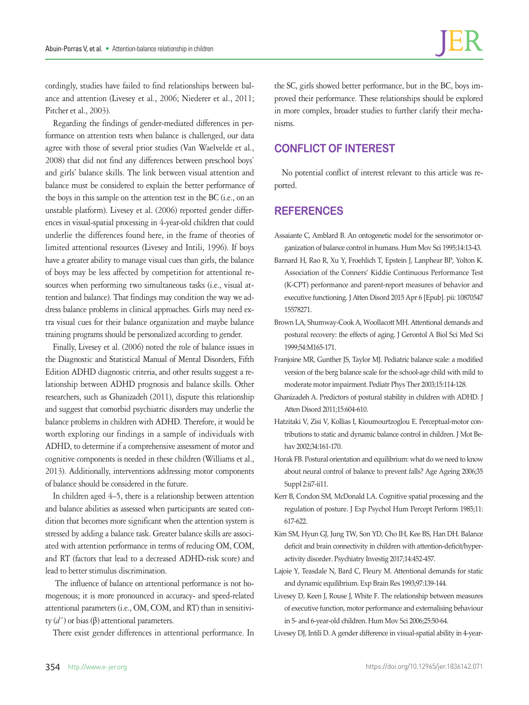cordingly, studies have failed to find relationships between balance and attention (Livesey et al., 2006; Niederer et al., 2011; Pitcher et al., 2003).

Regarding the findings of gender-mediated differences in performance on attention tests when balance is challenged, our data agree with those of several prior studies (Van Waelvelde et al., 2008) that did not find any differences between preschool boys' and girls' balance skills. The link between visual attention and balance must be considered to explain the better performance of the boys in this sample on the attention test in the BC (i.e., on an unstable platform). Livesey et al. (2006) reported gender differences in visual-spatial processing in 4-year-old children that could underlie the differences found here, in the frame of theories of limited attentional resources (Livesey and Intili, 1996). If boys have a greater ability to manage visual cues than girls, the balance of boys may be less affected by competition for attentional resources when performing two simultaneous tasks (i.e., visual attention and balance). That findings may condition the way we address balance problems in clinical approaches. Girls may need extra visual cues for their balance organization and maybe balance training programs should be personalized according to gender.

Finally, Livesey et al. (2006) noted the role of balance issues in the Diagnostic and Statistical Manual of Mental Disorders, Fifth Edition ADHD diagnostic criteria, and other results suggest a relationship between ADHD prognosis and balance skills. Other researchers, such as Ghanizadeh (2011), dispute this relationship and suggest that comorbid psychiatric disorders may underlie the balance problems in children with ADHD. Therefore, it would be worth exploring our findings in a sample of individuals with ADHD, to determine if a comprehensive assessment of motor and cognitive components is needed in these children (Williams et al., 2013). Additionally, interventions addressing motor components of balance should be considered in the future.

In children aged 4–5, there is a relationship between attention and balance abilities as assessed when participants are seated condition that becomes more significant when the attention system is stressed by adding a balance task. Greater balance skills are associated with attention performance in terms of reducing OM, COM, and RT (factors that lead to a decreased ADHD-risk score) and lead to better stimulus discrimination.

 The influence of balance on attentional performance is not homogenous; it is more pronounced in accuracy- and speed-related attentional parameters (i.e., OM, COM, and RT) than in sensitivity (*d´* ) or bias (β) attentional parameters.

There exist gender differences in attentional performance. In

the SC, girls showed better performance, but in the BC, boys improved their performance. These relationships should be explored in more complex, broader studies to further clarify their mechanisms.

## **CONFLICT OF INTEREST**

No potential conflict of interest relevant to this article was reported.

## **REFERENCES**

Assaiante C, Amblard B. An ontogenetic model for the sensorimotor organization of balance control in humans. Hum Mov Sci 1995;14:13-43.

- Barnard H, Rao R, Xu Y, Froehlich T, Epstein J, Lanphear BP, Yolton K. Association of the Conners' Kiddie Continuous Performance Test (K-CPT) performance and parent-report measures of behavior and executive functioning. J Atten Disord 2015 Apr 6 [Epub]. pii: 10870547 15578271.
- Brown LA, Shumway-Cook A, Woollacott MH. Attentional demands and postural recovery: the effects of aging. J Gerontol A Biol Sci Med Sci 1999;54:M165-171.
- Franjoine MR, Gunther JS, Taylor MJ. Pediatric balance scale: a modified version of the berg balance scale for the school-age child with mild to moderate motor impairment. Pediatr Phys Ther 2003;15:114-128.
- Ghanizadeh A. Predictors of postural stability in children with ADHD. J Atten Disord 2011;15:604-610.
- Hatzitaki V, Zisi V, Kollias I, Kioumourtzoglou E. Perceptual-motor contributions to static and dynamic balance control in children. J Mot Behav 2002;34:161-170.
- Horak FB. Postural orientation and equilibrium: what do we need to know about neural control of balance to prevent falls? Age Ageing 2006;35 Suppl 2:ii7-ii11.
- Kerr B, Condon SM, McDonald LA. Cognitive spatial processing and the regulation of posture. J Exp Psychol Hum Percept Perform 1985;11: 617-622.
- Kim SM, Hyun GJ, Jung TW, Son YD, Cho IH, Kee BS, Han DH. Balance deficit and brain connectivity in children with attention-deficit/hyperactivity disorder. Psychiatry Investig 2017;14:452-457.
- Lajoie Y, Teasdale N, Bard C, Fleury M. Attentional demands for static and dynamic equilibrium. Exp Brain Res 1993;97:139-144.
- Livesey D, Keen J, Rouse J, White F. The relationship between measures of executive function, motor performance and externalising behaviour in 5- and 6-year-old children. Hum Mov Sci 2006;25:50-64.
- Livesey DJ, Intili D. A gender difference in visual-spatial ability in 4-year-